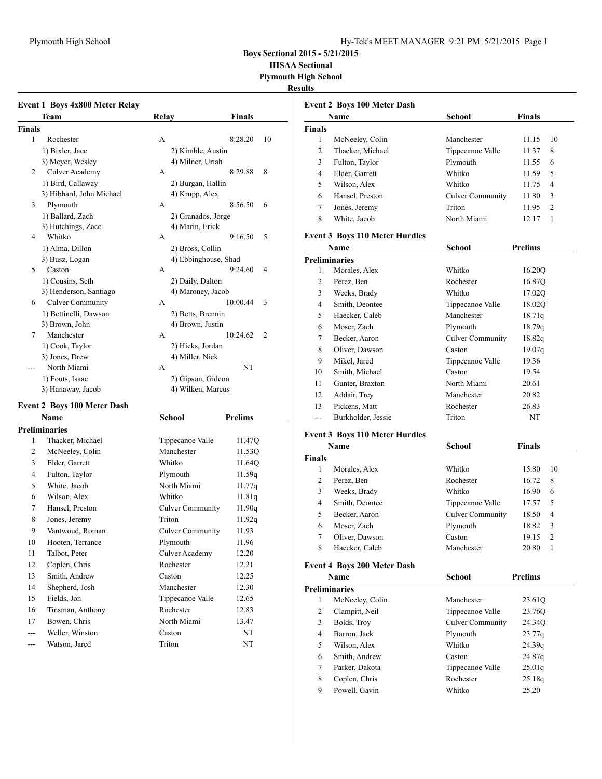### Plymouth High School Hy-Tek's MEET MANAGER 9:21 PM 5/21/2015 Page 1

**Boys Sectional 2015 - 5/21/2015**

**IHSAA Sectional**

**Plymouth High School**

#### **Results**

|               | <b>Event 1 Boys 4x800 Meter Relay</b> |                         |                |
|---------------|---------------------------------------|-------------------------|----------------|
|               | Team                                  | Relay                   | <b>Finals</b>  |
| <b>Finals</b> |                                       |                         |                |
| 1             | Rochester                             | A                       | 8:28.20<br>10  |
|               | 1) Bixler, Jace                       | 2) Kimble, Austin       |                |
|               | 3) Meyer, Wesley                      | 4) Milner, Uriah        |                |
| 2             | <b>Culver Academy</b>                 | А                       | 8:29.88<br>8   |
|               | 1) Bird, Callaway                     | 2) Burgan, Hallin       |                |
|               | 3) Hibbard, John Michael              | 4) Krupp, Alex          |                |
| 3             | Plymouth                              | А                       | 8:56.50<br>6   |
|               | 1) Ballard, Zach                      | 2) Granados, Jorge      |                |
|               | 3) Hutchings, Zacc                    | 4) Marin, Erick         |                |
| 4             | Whitko                                | A                       | 9:16.50<br>5   |
|               | 1) Alma, Dillon                       | 2) Bross, Collin        |                |
|               | 3) Busz, Logan                        | 4) Ebbinghouse, Shad    |                |
| 5             | Caston                                | A                       | 9:24.60<br>4   |
|               | 1) Cousins, Seth                      | 2) Daily, Dalton        |                |
|               | 3) Henderson, Santiago                | 4) Maroney, Jacob       |                |
| 6             | <b>Culver Community</b>               | A                       | 10:00.44<br>3  |
|               | 1) Bettinelli, Dawson                 | 2) Betts, Brennin       |                |
|               | 3) Brown, John                        | 4) Brown, Justin        |                |
| 7             | Manchester                            | A                       | 10:24.62<br>2  |
|               | 1) Cook, Taylor                       | 2) Hicks, Jordan        |                |
|               | 3) Jones, Drew                        | 4) Miller, Nick         |                |
|               | North Miami                           | A                       | NT             |
|               | 1) Fouts, Isaac                       | 2) Gipson, Gideon       |                |
|               | 3) Hanaway, Jacob                     | 4) Wilken, Marcus       |                |
|               | Event 2 Boys 100 Meter Dash           |                         |                |
|               | <b>Name</b>                           | School                  | <b>Prelims</b> |
|               | <b>Preliminaries</b>                  |                         |                |
| 1             | Thacker, Michael                      | Tippecanoe Valle        | 11.47Q         |
| 2             | McNeeley, Colin                       | Manchester              | 11.53Q         |
| 3             | Elder, Garrett                        | Whitko                  | 11.64Q         |
| 4             | Fulton, Taylor                        | Plymouth                | 11.59q         |
| 5             | White, Jacob                          | North Miami             | 11.77q         |
| 6             | Wilson, Alex                          | Whitko                  | 11.81q         |
| 7             | Hansel, Preston                       | <b>Culver Community</b> | 11.90q         |
| 8             | Jones, Jeremy                         | Triton                  | 11.92q         |
| 9             | Vantwoud, Roman                       | <b>Culver Community</b> | 11.93          |
| 10            | Hooten, Terrance                      | Plymouth                | 11.96          |
| 11            | Talbot, Peter                         | Culver Academy          | 12.20          |
| 12            | Coplen, Chris                         | Rochester               | 12.21          |
| 13            | Smith, Andrew                         | Caston                  | 12.25          |
|               |                                       |                         |                |

14 Shepherd, Josh Manchester 12.30 15 Fields, Jon Tippecanoe Valle 12.65 16 Tinsman, Anthony Rochester 12.83 17 Bowen, Chris North Miami 13.47 --- Weller, Winston Caston NT --- Watson, Jared Triton NT

|                | <b>Event 2 Boys 100 Meter Dash</b>    |                         |                         |
|----------------|---------------------------------------|-------------------------|-------------------------|
|                | Name                                  | <b>School</b>           | Finals                  |
| <b>Finals</b>  |                                       |                         |                         |
| 1              | McNeeley, Colin                       | Manchester              | 10<br>11.15             |
| $\overline{c}$ | Thacker, Michael                      | Tippecanoe Valle        | 8<br>11.37              |
| 3              | Fulton, Taylor                        | Plymouth                | 6<br>11.55              |
| $\overline{4}$ | Elder, Garrett                        | Whitko                  | 5<br>11.59              |
| 5              | Wilson, Alex                          | Whitko                  | 4<br>11.75              |
| 6              | Hansel, Preston                       | <b>Culver Community</b> | 3<br>11.80              |
| 7              | Jones, Jeremy                         | Triton                  | $\overline{2}$<br>11.95 |
| 8              | White, Jacob                          | North Miami             | $\mathbf{1}$<br>12.17   |
|                | <b>Event 3 Boys 110 Meter Hurdles</b> |                         |                         |
|                | Name                                  | <b>School</b>           | <b>Prelims</b>          |
|                | <b>Preliminaries</b>                  |                         |                         |
| 1              | Morales, Alex                         | Whitko                  | 16.20Q                  |
| $\overline{c}$ | Perez, Ben                            | Rochester               | 16.87Q                  |
| 3              | Weeks, Brady                          | Whitko                  | 17.02Q                  |
| $\overline{4}$ | Smith, Deontee                        | Tippecanoe Valle        | 18.02Q                  |
| 5              | Haecker, Caleb                        | Manchester              | 18.71q                  |
| 6              | Moser, Zach                           | Plymouth                | 18.79q                  |
| 7              | Becker, Aaron                         | <b>Culver Community</b> | 18.82q                  |
| 8              | Oliver, Dawson                        | Caston                  | 19.07q                  |
| 9              | Mikel, Jared                          | Tippecanoe Valle        | 19.36                   |
| 10             | Smith, Michael                        | Caston                  | 19.54                   |
| 11             | Gunter, Braxton                       | North Miami             | 20.61                   |
| 12             | Addair, Trey                          | Manchester              | 20.82                   |
| 13             | Pickens, Matt                         | Rochester               | 26.83                   |
| $---$          | Burkholder, Jessie                    | Triton                  | NT                      |
|                | <b>Event 3 Boys 110 Meter Hurdles</b> |                         |                         |
|                | Name                                  | <b>School</b>           | Finals                  |
| <b>Finals</b>  |                                       |                         |                         |
| 1              | Morales, Alex                         | Whitko                  | 10<br>15.80             |
| 2              | Perez, Ben                            | Rochester               | 16.72<br>8              |
| 3              | Weeks, Brady                          | Whitko                  | 6<br>16.90              |
| $\overline{4}$ | Smith, Deontee                        | Tippecanoe Valle        | 5<br>17.57              |
| 5              | Becker, Aaron                         | <b>Culver Community</b> | 4<br>18.50              |
| 6              | Moser, Zach                           | Plymouth                | 3<br>18.82              |

### **Event 4 Boys 200 Meter Dash**

|   | Name                 | School           | <b>Prelims</b> |  |
|---|----------------------|------------------|----------------|--|
|   | <b>Preliminaries</b> |                  |                |  |
| 1 | McNeeley, Colin      | Manchester       | 23.61Q         |  |
| 2 | Clampitt, Neil       | Tippecanoe Valle | 23.76Q         |  |
| 3 | Bolds, Troy          | Culver Community | 24.34Q         |  |
| 4 | Barron, Jack         | Plymouth         | 23.77q         |  |
| 5 | Wilson, Alex         | Whitko           | 24.39q         |  |
| 6 | Smith, Andrew        | Caston           | 24.87q         |  |
| 7 | Parker, Dakota       | Tippecanoe Valle | 25.01q         |  |
| 8 | Coplen, Chris        | Rochester        | 25.18q         |  |
| 9 | Powell, Gavin        | Whitko           | 25.20          |  |

7 Oliver, Dawson Caston 19.15 2 8 Haecker, Caleb Manchester 20.80 1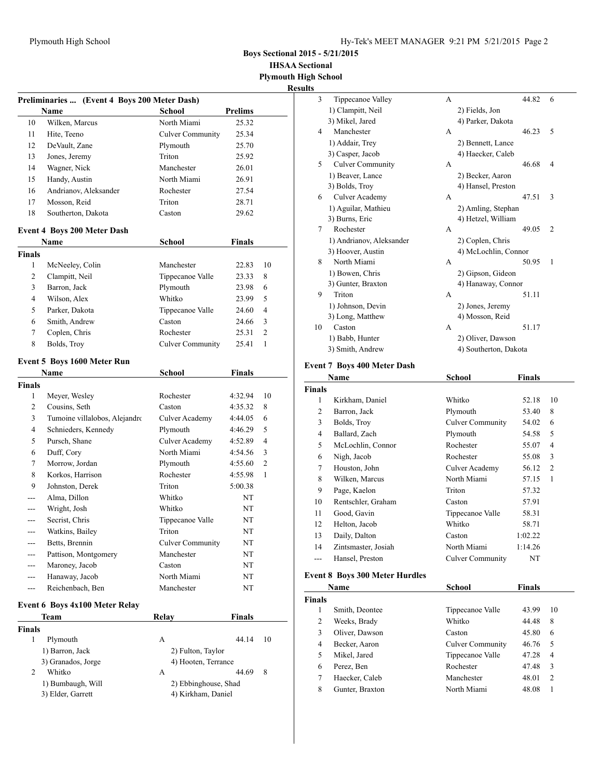**Boys Sectional 2015 - 5/21/2015**

**IHSAA Sectional**

**Plymouth High School Results**

|               | <b>Name</b>                        | Preliminaries  (Event 4 Boys 200 Meter Dash)<br><b>School</b> | <b>Prelims</b> |                |
|---------------|------------------------------------|---------------------------------------------------------------|----------------|----------------|
| 10            | Wilken, Marcus                     | North Miami                                                   | 25.32          |                |
| 11            | Hite, Teeno                        | <b>Culver Community</b>                                       | 25.34          |                |
| 12            | DeVault, Zane                      | Plymouth                                                      | 25.70          |                |
| 13            | Jones, Jeremy                      | Triton                                                        | 25.92          |                |
| 14            | Wagner, Nick                       | Manchester                                                    | 26.01          |                |
| 15            | Handy, Austin                      | North Miami                                                   | 26.91          |                |
| 16            | Andrianov, Aleksander              | Rochester                                                     | 27.54          |                |
| 17            | Mosson, Reid                       | Triton                                                        | 28.71          |                |
| 18            | Southerton, Dakota                 | Caston                                                        | 29.62          |                |
|               | <b>Event 4 Boys 200 Meter Dash</b> |                                                               |                |                |
|               | Name                               | School                                                        | <b>Finals</b>  |                |
| <b>Finals</b> |                                    |                                                               |                |                |
| 1             | McNeeley, Colin                    | Manchester                                                    | 22.83          | 10             |
| 2             | Clampitt, Neil                     | Tippecanoe Valle                                              | 23.33          | 8              |
| 3             | Barron, Jack                       | Plymouth                                                      | 23.98          | 6              |
| 4             | Wilson, Alex                       | Whitko                                                        | 23.99          | 5              |
| 5             | Parker, Dakota                     | Tippecanoe Valle                                              | 24.60          | $\overline{4}$ |
| 6             | Smith, Andrew                      | Caston                                                        | 24.66          | 3              |
| 7             | Coplen, Chris                      | Rochester                                                     | 25.31          | 2              |
| 8             | Bolds, Troy                        | <b>Culver Community</b>                                       | 25.41          | 1              |
|               |                                    |                                                               |                |                |
|               | Event 5 Boys 1600 Meter Run        |                                                               |                |                |
|               | Name                               | <b>School</b>                                                 | <b>Finals</b>  |                |
| <b>Finals</b> |                                    |                                                               |                |                |
| 1             | Meyer, Wesley                      | Rochester                                                     | 4:32.94        | 10             |
| 2             | Cousins, Seth                      | Caston                                                        | 4:35.32        | 8              |
| 3             | Tumoine villalobos, Alejandro      | <b>Culver Academy</b>                                         | 4:44.05        | 6              |
| 4             | Schnieders, Kennedy                | Plymouth                                                      | 4:46.29        | 5              |
| 5             | Pursch, Shane                      | Culver Academy                                                | 4:52.89        | $\overline{4}$ |
| 6             | Duff, Cory                         | North Miami                                                   | 4:54.56        | 3              |
| 7             | Morrow, Jordan                     | Plymouth                                                      | 4:55.60        | 2              |
| 8             | Korkos, Harrison                   | Rochester                                                     | 4:55.98        | 1              |
| 9             | Johnston, Derek                    | Triton                                                        | 5:00.38        |                |
| ---           | Alma, Dillon                       | Whitko                                                        | NT             |                |
| ---           | Wright, Josh                       | Whitko                                                        | NT             |                |
| ---           | Secrist, Chris                     | Tippecanoe Valle                                              | NT             |                |
|               | Watkins, Bailey                    | Triton                                                        | NT             |                |
|               | Betts, Brennin                     | <b>Culver Community</b>                                       | NT             |                |
| ---           | Pattison, Montgomery               | Manchester                                                    | NT             |                |
|               | Maroney, Jacob                     | Caston                                                        | NT             |                |
| ---           | Hanaway, Jacob                     | North Miami                                                   | NT             |                |
| ---           | Reichenbach, Ben                   | Manchester                                                    | NT             |                |
|               |                                    |                                                               |                |                |
|               | Event 6 Boys 4x100 Meter Relay     |                                                               |                |                |
|               | Team                               | Relay                                                         | <b>Finals</b>  |                |
| <b>Finals</b> |                                    |                                                               |                |                |
| 1             | Plymouth                           | A                                                             | 44.14          | 10             |
|               | 1) Barron, Jack                    | 2) Fulton, Taylor                                             |                |                |
|               | 3) Granados, Jorge                 | 4) Hooten, Terrance                                           |                |                |
| 2             | Whitko                             | A                                                             | 44.69          | 8              |
|               | 1) Bumbaugh, Will                  | 2) Ebbinghouse, Shad                                          |                |                |
|               | 3) Elder, Garrett                  | 4) Kirkham, Daniel                                            |                |                |

| 3              | Tippecanoe Valley        | A |                       | 44.82 | 6              |
|----------------|--------------------------|---|-----------------------|-------|----------------|
|                | 1) Clampitt, Neil        |   | 2) Fields, Jon        |       |                |
|                | 3) Mikel, Jared          |   | 4) Parker, Dakota     |       |                |
| $\overline{4}$ | Manchester               | A |                       | 46.23 | 5              |
|                | 1) Addair, Trev          |   | 2) Bennett, Lance     |       |                |
|                | 3) Casper, Jacob         |   | 4) Haecker, Caleb     |       |                |
| 5              | <b>Culver Community</b>  | A |                       | 46.68 | 4              |
|                | 1) Beaver, Lance         |   | 2) Becker, Aaron      |       |                |
|                | 3) Bolds, Troy           |   | 4) Hansel, Preston    |       |                |
| 6              | Culver Academy           | A |                       | 47.51 | 3              |
|                | 1) Aguilar, Mathieu      |   | 2) Amling, Stephan    |       |                |
|                | 3) Burns, Eric           |   | 4) Hetzel, William    |       |                |
| 7              | Rochester                | A |                       | 49.05 | $\overline{2}$ |
|                | 1) Andrianov, Aleksander |   | 2) Coplen, Chris      |       |                |
|                | 3) Hoover, Austin        |   | 4) McLochlin, Connor  |       |                |
| 8              | North Miami              | A |                       | 50.95 | $\mathbf{1}$   |
|                | 1) Bowen, Chris          |   | 2) Gipson, Gideon     |       |                |
|                | 3) Gunter, Braxton       |   | 4) Hanaway, Connor    |       |                |
| 9              | Triton                   | A |                       | 51.11 |                |
|                | 1) Johnson, Devin        |   | 2) Jones, Jeremy      |       |                |
|                | 3) Long, Matthew         |   | 4) Mosson, Reid       |       |                |
| 10             | Caston                   | A |                       | 51.17 |                |
|                | 1) Babb, Hunter          |   | 2) Oliver, Dawson     |       |                |
|                | 3) Smith, Andrew         |   | 4) Southerton, Dakota |       |                |
|                |                          |   |                       |       |                |

# **Event 7 Boys 400 Meter Dash**

|               | Name                | School                  | <b>Finals</b> |                |
|---------------|---------------------|-------------------------|---------------|----------------|
| <b>Finals</b> |                     |                         |               |                |
| 1             | Kirkham, Daniel     | Whitko                  | 52.18         | 10             |
| 2             | Barron, Jack        | Plymouth                | 53.40         | 8              |
| 3             | Bolds, Troy         | <b>Culver Community</b> | 54.02         | 6              |
| 4             | Ballard, Zach       | Plymouth                | 54.58         | 5              |
| 5             | McLochlin, Connor   | Rochester               | 55.07         | 4              |
| 6             | Nigh, Jacob         | Rochester               | 55.08         | 3              |
| 7             | Houston, John       | Culver Academy          | 56.12         | $\overline{2}$ |
| 8             | Wilken, Marcus      | North Miami             | 57.15         | 1              |
| 9             | Page, Kaelon        | Triton                  | 57.32         |                |
| 10            | Rentschler, Graham  | Caston                  | 57.91         |                |
| 11            | Good, Gavin         | Tippecanoe Valle        | 58.31         |                |
| 12            | Helton, Jacob       | Whitko                  | 58.71         |                |
| 13            | Daily, Dalton       | Caston                  | 1:02.22       |                |
| 14            | Zintsmaster, Josiah | North Miami             | 1:14.26       |                |
| ---           | Hansel, Preston     | <b>Culver Community</b> | NT            |                |

# **Event 8 Boys 300 Meter Hurdles**

| School<br>Name<br><b>Finals</b> |                 |                         | Finals |                |
|---------------------------------|-----------------|-------------------------|--------|----------------|
|                                 |                 |                         |        |                |
|                                 | Smith, Deontee  | Tippecanoe Valle        | 43.99  | 10             |
| 2                               | Weeks, Brady    | Whitko                  | 44.48  | 8              |
| 3                               | Oliver, Dawson  | Caston                  | 45.80  | 6              |
| 4                               | Becker, Aaron   | <b>Culver Community</b> | 46.76  | .5             |
| 5                               | Mikel, Jared    | Tippecanoe Valle        | 47.28  | $\overline{4}$ |
| 6                               | Perez, Ben      | Rochester               | 47.48  | 3              |
| 7                               | Haecker, Caleb  | Manchester              | 48.01  | 2              |
| 8                               | Gunter, Braxton | North Miami             | 48.08  |                |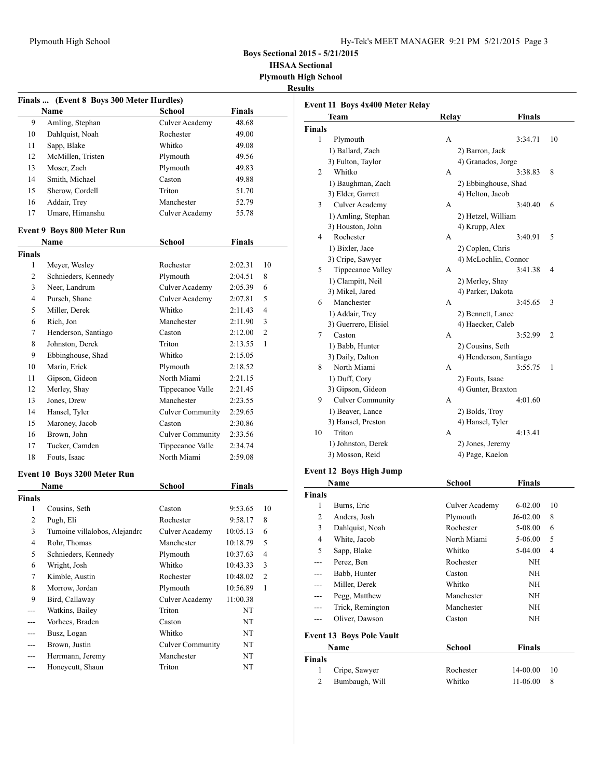**Boys Sectional 2015 - 5/21/2015**

**IHSAA Sectional Plymouth High School**

**Results**

|               | Finals  (Event 8 Boys 300 Meter Hurdles) |                         |               |                         |
|---------------|------------------------------------------|-------------------------|---------------|-------------------------|
|               | Name                                     | <b>School</b>           | Finals        |                         |
| 9             | Amling, Stephan                          | Culver Academy          | 48.68         |                         |
| 10            | Dahlquist, Noah                          | Rochester               | 49.00         |                         |
| 11            | Sapp, Blake                              | Whitko                  | 49.08         |                         |
| 12            | McMillen, Tristen                        | Plymouth                | 49.56         |                         |
| 13            | Moser, Zach                              | Plymouth                | 49.83         |                         |
| 14            | Smith, Michael                           | Caston                  | 49.88         |                         |
| 15            | Sherow, Cordell                          | Triton                  | 51.70         |                         |
| 16            | Addair, Trey                             | Manchester              | 52.79         |                         |
| 17            | Umare, Himanshu                          | Culver Academy          | 55.78         |                         |
|               | <b>Event 9 Boys 800 Meter Run</b>        |                         |               |                         |
|               | Name                                     | <b>School</b>           | <b>Finals</b> |                         |
| <b>Finals</b> |                                          |                         |               |                         |
| 1             | Meyer, Wesley                            | Rochester               | 2:02.31       | 10                      |
| 2             | Schnieders, Kennedy                      | Plymouth                | 2:04.51       | 8                       |
| 3             | Neer, Landrum                            | Culver Academy          | 2:05.39       | 6                       |
| 4             | Pursch, Shane                            | Culver Academy          | 2:07.81       | 5                       |
| 5             | Miller. Derek                            | Whitko                  | 2:11.43       | 4                       |
| 6             | Rich. Jon                                | Manchester              | 2:11.90       | 3                       |
| 7             | Henderson, Santiago                      | Caston                  | 2:12.00       | $\overline{c}$          |
| 8             | Johnston, Derek                          | Triton                  | 2:13.55       | $\mathbf{1}$            |
| 9             | Ebbinghouse, Shad                        | Whitko                  | 2:15.05       |                         |
| 10            | Marin, Erick                             | Plymouth                | 2:18.52       |                         |
| 11            | Gipson, Gideon                           | North Miami             | 2:21.15       |                         |
| 12            | Merley, Shay                             | Tippecanoe Valle        | 2:21.45       |                         |
| 13            | Jones, Drew                              | Manchester              | 2:23.55       |                         |
| 14            | Hansel, Tyler                            | <b>Culver Community</b> | 2:29.65       |                         |
| 15            | Maroney, Jacob                           | Caston                  | 2:30.86       |                         |
| 16            | Brown, John                              | <b>Culver Community</b> | 2:33.56       |                         |
| 17            | Tucker, Camden                           | Tippecanoe Valle        | 2:34.74       |                         |
| 18            | Fouts, Isaac                             | North Miami             | 2:59.08       |                         |
|               | Event 10 Boys 3200 Meter Run             |                         |               |                         |
|               | Name                                     | School                  | <b>Finals</b> |                         |
| <b>Finals</b> |                                          |                         |               |                         |
| 1             | Cousins, Seth                            | Caston                  | 9:53.65       | 10                      |
| 2             | Pugh, Eli                                | Rochester               | 9:58.17       | 8                       |
| 3             | Tumoine villalobos, Alejandro            | Culver Academy          | 10:05.13      | 6                       |
| 4             | Rohr, Thomas                             | Manchester              | 10:18.79      | 5                       |
| 5             | Schnieders, Kennedy                      | Plymouth                | 10:37.63      | 4                       |
| 6             | Wright, Josh                             | Whitko                  | 10:43.33      | 3                       |
| $\tau$        | Kimble, Austin                           | Rochester               | 10:48.02      | $\overline{\mathbf{c}}$ |
| 8             | Morrow, Jordan                           | Plymouth                | 10:56.89      | 1                       |
| 9             | Bird, Callaway                           | <b>Culver Academy</b>   | 11:00.38      |                         |
| ---           | Watkins, Bailey                          | Triton                  | NT            |                         |
| ---           | Vorhees, Braden                          | Caston                  | NT            |                         |
| ---           | Busz, Logan                              | Whitko                  | NT            |                         |
|               | Brown, Justin                            | <b>Culver Community</b> | NT            |                         |
| ---           | Herrmann, Jeremy                         | Manchester              | NT            |                         |
| ---           | Honeycutt, Shaun                         | Triton                  | NT            |                         |

|                | Team                            | Relay              | <b>Finals</b>          |                |
|----------------|---------------------------------|--------------------|------------------------|----------------|
| <b>Finals</b>  |                                 |                    |                        |                |
| 1              | Plymouth                        | А                  | 3:34.71                | 10             |
|                | 1) Ballard, Zach                | 2) Barron, Jack    |                        |                |
|                | 3) Fulton, Taylor               | 4) Granados, Jorge |                        |                |
| 2              | Whitko                          | А                  | 3:38.83                | 8              |
|                | 1) Baughman, Zach               |                    | 2) Ebbinghouse, Shad   |                |
|                | 3) Elder, Garrett               | 4) Helton, Jacob   |                        |                |
| 3              | <b>Culver Academy</b>           | A                  | 3:40.40                | 6              |
|                |                                 |                    |                        |                |
|                | 1) Amling, Stephan              | 2) Hetzel, William |                        |                |
| 4              | 3) Houston, John<br>Rochester   | 4) Krupp, Alex     |                        |                |
|                |                                 | А                  | 3:40.91                | 5              |
|                | 1) Bixler, Jace                 | 2) Coplen, Chris   |                        |                |
|                | 3) Cripe, Sawyer                |                    | 4) McLochlin, Connor   |                |
| 5              | Tippecanoe Valley               | A                  | 3:41.38                | 4              |
|                | 1) Clampitt, Neil               | 2) Merley, Shay    |                        |                |
|                | 3) Mikel, Jared                 | 4) Parker, Dakota  |                        |                |
| 6              | Manchester                      | A                  | 3:45.65                | 3              |
|                | 1) Addair, Trey                 | 2) Bennett, Lance  |                        |                |
|                | 3) Guerrero, Elisiel            | 4) Haecker, Caleb  |                        |                |
| 7              | Caston                          | A                  | 3:52.99                | 2              |
|                | 1) Babb, Hunter                 | 2) Cousins, Seth   |                        |                |
|                | 3) Daily, Dalton                |                    | 4) Henderson, Santiago |                |
| 8              | North Miami                     | A                  | 3:55.75                | 1              |
|                | 1) Duff, Cory                   | 2) Fouts, Isaac    |                        |                |
|                | 3) Gipson, Gideon               | 4) Gunter, Braxton |                        |                |
| 9              | <b>Culver Community</b>         | A                  | 4:01.60                |                |
|                | 1) Beaver, Lance                | 2) Bolds, Troy     |                        |                |
|                | 3) Hansel, Preston              | 4) Hansel, Tyler   |                        |                |
| 10             | Triton                          | A                  | 4:13.41                |                |
|                | 1) Johnston, Derek              | 2) Jones, Jeremy   |                        |                |
|                | 3) Mosson, Reid                 | 4) Page, Kaelon    |                        |                |
|                | <b>Event 12 Boys High Jump</b>  |                    |                        |                |
|                | Name                            | <b>School</b>      | Finals                 |                |
| <b>Finals</b>  |                                 |                    |                        |                |
| 1              | Burns, Eric                     | Culver Academy     | $6 - 02.00$            | 10             |
| 2              | Anders, Josh                    | Plymouth           | J6-02.00               | 8              |
| 3              | Dahlquist, Noah                 | Rochester          | 5-08.00                | 6              |
| $\overline{4}$ |                                 |                    |                        | 5              |
|                | White, Jacob                    | North Miami        | 5-06.00                |                |
| 5              | Sapp, Blake                     | Whitko             | 5-04.00                | $\overline{4}$ |
| ---            | Perez, Ben                      | Rochester          | NΗ                     |                |
| ---            | Babb, Hunter                    | Caston             | NH                     |                |
|                | Miller, Derek                   | Whitko             | NH                     |                |
|                | Pegg, Matthew                   | Manchester         | NH                     |                |
| ---            | Trick, Remington                | Manchester         | NH                     |                |
| ---            | Oliver, Dawson                  | Caston             | NΗ                     |                |
|                | <b>Event 13 Boys Pole Vault</b> |                    |                        |                |
|                | Name                            | <b>School</b>      | Finals                 |                |
| <b>Finals</b>  |                                 |                    |                        |                |
| 1              | Cripe, Sawyer                   | Rochester          | 14-00.00               | 10             |
| $\overline{c}$ | Bumbaugh, Will                  | Whitko             | 11-06.00               | 8              |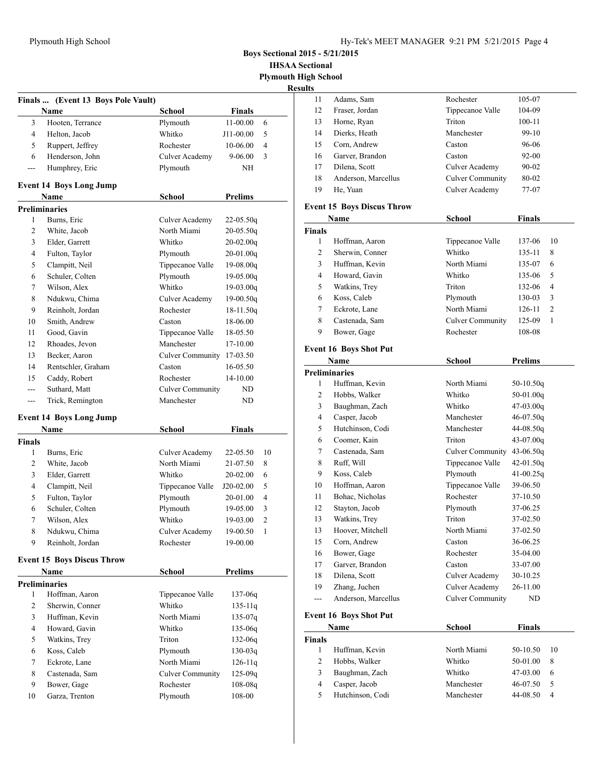**Boys Sectional 2015 - 5/21/2015**

**IHSAA Sectional Plymouth High School**

**Results**

|                | Finals  (Event 13 Boys Pole Vault)        |                           |                |                |
|----------------|-------------------------------------------|---------------------------|----------------|----------------|
|                | Name                                      | School                    | <b>Finals</b>  |                |
| 3              | Hooten, Terrance                          | Plymouth                  | 11-00.00       | 6              |
| 4              | Helton, Jacob                             | Whitko                    | J11-00.00      | 5              |
| 5              | Ruppert, Jeffrey                          | Rochester                 | 10-06.00       | 4              |
| 6              | Henderson, John                           | Culver Academy            | $9 - 06.00$    | 3              |
| ---            | Humphrey, Eric                            | Plymouth                  | NΗ             |                |
|                | <b>Event 14 Boys Long Jump</b>            |                           |                |                |
|                | Name                                      | <b>School</b>             | <b>Prelims</b> |                |
|                | <b>Preliminaries</b>                      |                           |                |                |
| 1              | Burns, Eric                               | Culver Academy            | $22 - 05.50q$  |                |
| 2              | White, Jacob                              | North Miami               | $20 - 05.50q$  |                |
| 3              | Elder, Garrett                            | Whitko                    | $20-02.00q$    |                |
| 4              | Fulton, Taylor                            | Plymouth                  | $20-01.00q$    |                |
| 5              | Clampitt, Neil                            | Tippecanoe Valle          | 19-08.00q      |                |
| 6              | Schuler, Colten                           | Plymouth                  | 19-05.00g      |                |
| 7              | Wilson, Alex                              | Whitko                    | 19-03.00g      |                |
| 8              | Ndukwu, Chima                             | Culver Academy            | $19-00.50q$    |                |
| 9              | Reinholt. Jordan                          | Rochester                 | 18-11.50q      |                |
| 10             | Smith, Andrew                             | Caston                    | 18-06.00       |                |
| 11             | Good, Gavin                               | Tippecanoe Valle          | 18-05.50       |                |
| 12             | Rhoades, Jevon                            | Manchester                | 17-10.00       |                |
| 13             | Becker, Aaron                             | Culver Community 17-03.50 |                |                |
| 14             | Rentschler, Graham                        | Caston                    | 16-05.50       |                |
| 15             | Caddy, Robert                             | Rochester                 | 14-10.00       |                |
| ---            | Suthard, Matt                             | <b>Culver Community</b>   | ND             |                |
| ---            | Trick, Remington                          | Manchester                | ND             |                |
|                |                                           |                           |                |                |
|                | <b>Event 14 Boys Long Jump</b><br>Name    | <b>School</b>             | <b>Finals</b>  |                |
| Finals         |                                           |                           |                |                |
| 1              | Burns, Eric                               | Culver Academy            | 22-05.50       | 10             |
| 2              | White, Jacob                              | North Miami               | 21-07.50       | 8              |
| 3              | Elder, Garrett                            | Whitko                    | 20-02.00       | 6              |
| 4              | Clampitt, Neil                            | Tippecanoe Valle          | J20-02.00      | 5              |
| 5              | Fulton, Taylor                            | Plymouth                  | 20-01.00       | 4              |
| 6              | Schuler, Colten                           | Plymouth                  | 19-05.00       | 3              |
| 7              | Wilson, Alex                              | Whitko                    | 19-03.00       | $\overline{2}$ |
| 8              | Ndukwu, Chima                             | Culver Academy            | 19-00.50       | 1              |
| 9              | Reinholt, Jordan                          | Rochester                 | 19-00.00       |                |
|                |                                           |                           |                |                |
|                | <b>Event 15 Boys Discus Throw</b><br>Name | <b>School</b>             | <b>Prelims</b> |                |
|                | <b>Preliminaries</b>                      |                           |                |                |
| 1              | Hoffman, Aaron                            | Tippecanoe Valle          | 137-06q        |                |
| 2              | Sherwin, Conner                           | Whitko                    | $135 - 11q$    |                |
| 3              | Huffman, Kevin                            | North Miami               | $135 - 07q$    |                |
| $\overline{4}$ | Howard, Gavin                             | Whitko                    | $135-06q$      |                |
| 5              | Watkins, Trey                             | Triton                    | $132 - 06q$    |                |
| 6              | Koss, Caleb                               | Plymouth                  | $130 - 03q$    |                |
| 7              | Eckrote, Lane                             | North Miami               | $126 - 11q$    |                |
| 8              | Castenada, Sam                            | <b>Culver Community</b>   | $125 - 09q$    |                |
| 9              | Bower, Gage                               | Rochester                 | $108 - 08q$    |                |
| 10             | Garza, Trenton                            | Plymouth                  | 108-00         |                |
|                |                                           |                           |                |                |

| э  |                     |                         |            |
|----|---------------------|-------------------------|------------|
| 11 | Adams, Sam          | Rochester               | 105-07     |
| 12 | Fraser, Jordan      | Tippecanoe Valle        | 104-09     |
| 13 | Horne, Ryan         | Triton                  | $100 - 11$ |
| 14 | Dierks, Heath       | Manchester              | 99-10      |
| 15 | Corn, Andrew        | Caston                  | 96-06      |
| 16 | Garver, Brandon     | Caston                  | $92 - 00$  |
| 17 | Dilena, Scott       | Culver Academy          | $90 - 02$  |
| 18 | Anderson, Marcellus | <b>Culver Community</b> | 80-02      |
| 19 | He, Yuan            | Culver Academy          | 77-07      |
|    |                     |                         |            |

# **Event 15 Boys Discus Throw**

| 137-06     | 10                         |
|------------|----------------------------|
| 135-11     | 8                          |
| 135-07     | 6                          |
| 135-06     | 5                          |
| 132-06     | 4                          |
| 130-03     | 3                          |
| $126 - 11$ | $\overline{2}$             |
| 125-09     | 1                          |
|            |                            |
|            | Culver Community<br>108-08 |

### **Event 16 Boys Shot Put**

| Name           |                               | <b>School</b>           | <b>Prelims</b> |  |
|----------------|-------------------------------|-------------------------|----------------|--|
|                | <b>Preliminaries</b>          |                         |                |  |
| 1              | Huffman, Kevin                | North Miami             | $50-10.50q$    |  |
| $\overline{c}$ | Hobbs, Walker                 | Whitko                  | $50-01.00q$    |  |
| 3              | Baughman, Zach                | Whitko                  | $47-03.00q$    |  |
| 4              | Casper, Jacob                 | Manchester              | $46-07.50q$    |  |
| 5              | Hutchinson, Codi              | Manchester              | 44-08.50g      |  |
| 6              | Coomer, Kain                  | Triton                  | 43-07.00g      |  |
| 7              | Castenada, Sam                | <b>Culver Community</b> | $43 - 06.50q$  |  |
| 8              | Ruff, Will                    | Tippecanoe Valle        | $42 - 01.50q$  |  |
| 9              | Koss, Caleb                   | Plymouth                | $41 - 00.25q$  |  |
| 10             | Hoffman, Aaron                | Tippecanoe Valle        | 39-06.50       |  |
| 11             | Bohac, Nicholas               | Rochester               | 37-10.50       |  |
| 12             | Stayton, Jacob                | Plymouth                | 37-06.25       |  |
| 13             | Watkins, Trey                 | Triton                  | 37-02.50       |  |
| 13             | Hoover, Mitchell              | North Miami             | 37-02.50       |  |
| 15             | Corn, Andrew                  | Caston                  | 36-06.25       |  |
| 16             | Bower, Gage                   | Rochester               | 35-04.00       |  |
| 17             | Garver, Brandon               | Caston                  | 33-07.00       |  |
| 18             | Dilena, Scott                 | Culver Academy          | 30-10.25       |  |
| 19             | Zhang, Juchen                 | Culver Academy          | 26-11.00       |  |
| ---            | Anderson, Marcellus           | <b>Culver Community</b> | ND             |  |
|                | <b>Event 16 Boys Shot Put</b> |                         |                |  |
| Name           |                               | <b>School</b>           | <b>Finals</b>  |  |

| ınals |                  |             |            |      |
|-------|------------------|-------------|------------|------|
|       | Huffman, Kevin   | North Miami | $50-10.50$ | - 10 |
|       | Hobbs, Walker    | Whitko      | 50-01.00   | -8   |
| 3     | Baughman, Zach   | Whitko      | 47-03.00   | -6   |
|       | Casper, Jacob    | Manchester  | 46-07.50   | -5   |
| 5     | Hutchinson, Codi | Manchester  | 44-08.50   | 4    |